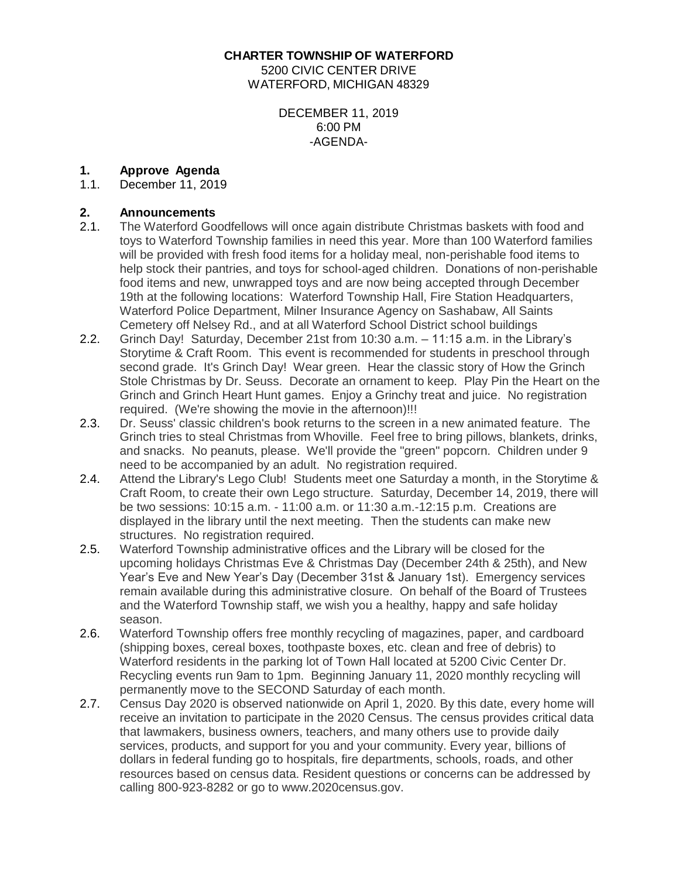**CHARTER TOWNSHIP OF WATERFORD**

5200 CIVIC CENTER DRIVE WATERFORD, MICHIGAN 48329

#### DECEMBER 11, 2019 6:00 PM -AGENDA-

# **1. Approve Agenda**

December 11, 2019

#### **2. Announcements**

- 2.1. The Waterford Goodfellows will once again distribute Christmas baskets with food and toys to Waterford Township families in need this year. More than 100 Waterford families will be provided with fresh food items for a holiday meal, non-perishable food items to help stock their pantries, and toys for school-aged children. Donations of non-perishable food items and new, unwrapped toys and are now being accepted through December 19th at the following locations: Waterford Township Hall, Fire Station Headquarters, Waterford Police Department, Milner Insurance Agency on Sashabaw, All Saints Cemetery off Nelsey Rd., and at all Waterford School District school buildings
- 2.2. Grinch Day! Saturday, December 21st from 10:30 a.m. 11:15 a.m. in the Library's Storytime & Craft Room. This event is recommended for students in preschool through second grade. It's Grinch Day! Wear green. Hear the classic story of How the Grinch Stole Christmas by Dr. Seuss. Decorate an ornament to keep. Play Pin the Heart on the Grinch and Grinch Heart Hunt games. Enjoy a Grinchy treat and juice. No registration required. (We're showing the movie in the afternoon)!!!
- 2.3. Dr. Seuss' classic children's book returns to the screen in a new animated feature. The Grinch tries to steal Christmas from Whoville. Feel free to bring pillows, blankets, drinks, and snacks. No peanuts, please. We'll provide the "green" popcorn. Children under 9 need to be accompanied by an adult. No registration required.
- 2.4. Attend the Library's Lego Club! Students meet one Saturday a month, in the Storytime & Craft Room, to create their own Lego structure. Saturday, December 14, 2019, there will be two sessions: 10:15 a.m. - 11:00 a.m. or 11:30 a.m.-12:15 p.m. Creations are displayed in the library until the next meeting. Then the students can make new structures. No registration required.
- 2.5. Waterford Township administrative offices and the Library will be closed for the upcoming holidays Christmas Eve & Christmas Day (December 24th & 25th), and New Year's Eve and New Year's Day (December 31st & January 1st). Emergency services remain available during this administrative closure. On behalf of the Board of Trustees and the Waterford Township staff, we wish you a healthy, happy and safe holiday season.
- 2.6. Waterford Township offers free monthly recycling of magazines, paper, and cardboard (shipping boxes, cereal boxes, toothpaste boxes, etc. clean and free of debris) to Waterford residents in the parking lot of Town Hall located at 5200 Civic Center Dr. Recycling events run 9am to 1pm. Beginning January 11, 2020 monthly recycling will permanently move to the SECOND Saturday of each month.
- 2.7. Census Day 2020 is observed nationwide on April 1, 2020. By this date, every home will receive an invitation to participate in the 2020 Census. The census provides critical data that lawmakers, business owners, teachers, and many others use to provide daily services, products, and support for you and your community. Every year, billions of dollars in federal funding go to hospitals, fire departments, schools, roads, and other resources based on census data. Resident questions or concerns can be addressed by calling 800-923-8282 or go to www.2020census.gov.